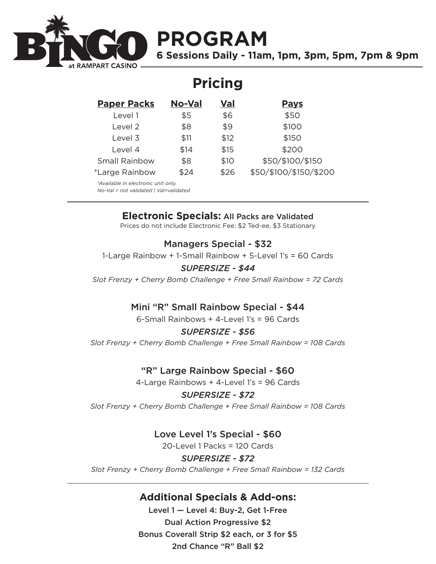

# **PROGRAM**

**6 Sessions Daily - 11am, 1pm, 3pm, 5pm, 7pm & 9pm**

## **Pricing**

| <b>Paper Packs</b>                  | <b>No-Val</b> | Val  | <b>Pays</b>            |  |
|-------------------------------------|---------------|------|------------------------|--|
| Level 1                             | \$5           | \$6  | \$50                   |  |
| Level 2                             | \$8           | \$9  | \$100                  |  |
| Level 3                             | \$11          | \$12 | \$150                  |  |
| Level 4                             | \$14          | \$15 | \$200                  |  |
| <b>Small Rainbow</b>                | \$8           | \$10 | \$50/\$100/\$150       |  |
| *Large Rainbow                      | \$24          | \$26 | \$50/\$100/\$150/\$200 |  |
| *Available in electronic unit only. |               |      |                        |  |

*No-Val = not validated | Val=validated*

### **Electronic Specials:** All Packs are Validated

Prices do not include Electronic Fee: \$2 Ted-ee, \$3 Stationary

#### Managers Special - \$32

1-Large Rainbow + 1-Small Rainbow + 5-Level 1's = 60 Cards

#### *SUPERSIZE - \$44*

*Slot Frenzy + Cherry Bomb Challenge + Free Small Rainbow = 72 Cards*

### Mini "R" Small Rainbow Special - \$44

6-Small Rainbows + 4-Level 1's = 96 Cards

#### *SUPERSIZE - \$56*

*Slot Frenzy + Cherry Bomb Challenge + Free Small Rainbow = 108 Cards*

### "R" Large Rainbow Special - \$60

4-Large Rainbows + 4-Level 1's = 96 Cards

#### *SUPERSIZE - \$72*

*Slot Frenzy + Cherry Bomb Challenge + Free Small Rainbow = 108 Cards*

### Love Level 1's Special - \$60

20-Level 1 Packs = 120 Cards

#### *SUPERSIZE - \$72*

*Slot Frenzy + Cherry Bomb Challenge + Free Small Rainbow = 132 Cards*

## **Additional Specials & Add-ons:**

Level 1 — Level 4: Buy-2, Get 1-Free Dual Action Progressive \$2 Bonus Coverall Strip \$2 each, or 3 for \$5 2nd Chance "R" Ball \$2